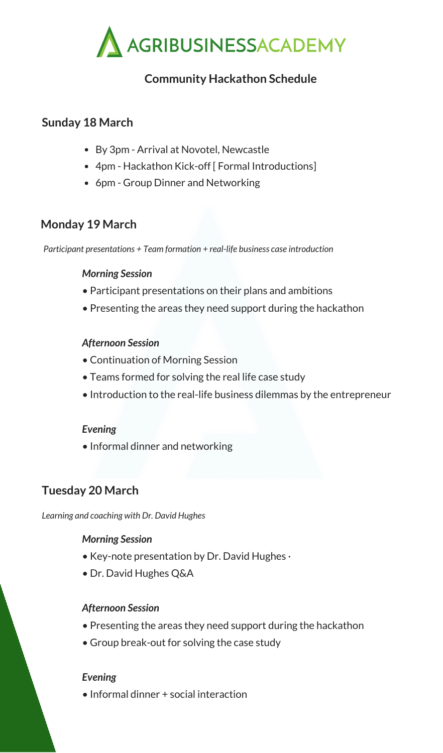

# **Community Hackathon Schedule**

### **Sunday 18 March**

- By 3pm Arrival at Novotel, Newcastle
- 4pm Hackathon Kick-off [ Formal Introductions]
- 6pm Group Dinner and Networking

## **Monday 19 March**

*Participant presentations + Team formation + real-life business case introduction*

#### *Morning Session*

- Participant presentations on their plans and ambitions
- Presenting the areas they need support during the hackathon

#### *Afternoon Session*

- Continuation of Morning Session
- Teams formed for solving the real life case study
- Introduction to the real-life business dilemmas by the entrepreneur

### *Evening*

• Informal dinner and networking

# **Tuesday 20 March**

*Learning and coaching with Dr. David Hughes*

### *Morning Session*

- Key-note presentation by Dr. David Hughes  $\cdot$
- Dr. David Hughes Q&A

#### *Afternoon Session*

- Presenting the areas they need support during the hackathon
- Group break-out for solving the case study

### *Evening*

• Informal dinner + social interaction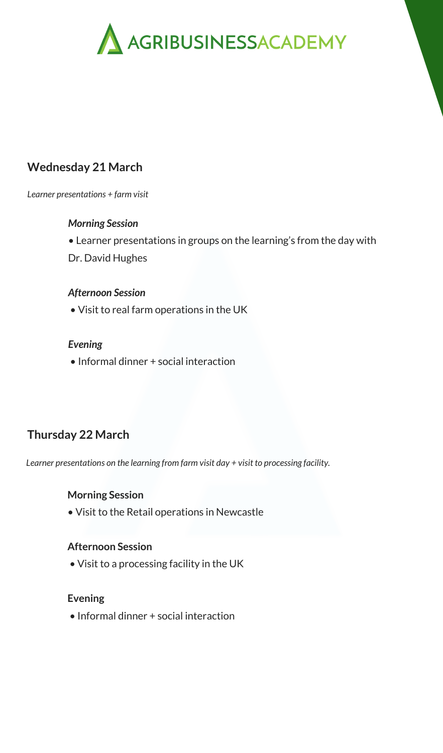

## **Wednesday 21 March**

*Learner presentations + farm visit*

#### *Morning Session*

• Learner presentations in groups on the learning's from the day with Dr. David Hughes

#### *Afternoon Session*

• Visit to real farm operations in the UK

#### *Evening*

• Informal dinner + social interaction

# **Thursday 22 March**

*Learner presentations on the learning from farm visit day + visit to processing facility.*

#### **Morning Session**

• Visit to the Retail operations in Newcastle

#### **Afternoon Session**

• Visit to a processing facility in the UK

#### **Evening**

• Informal dinner + social interaction